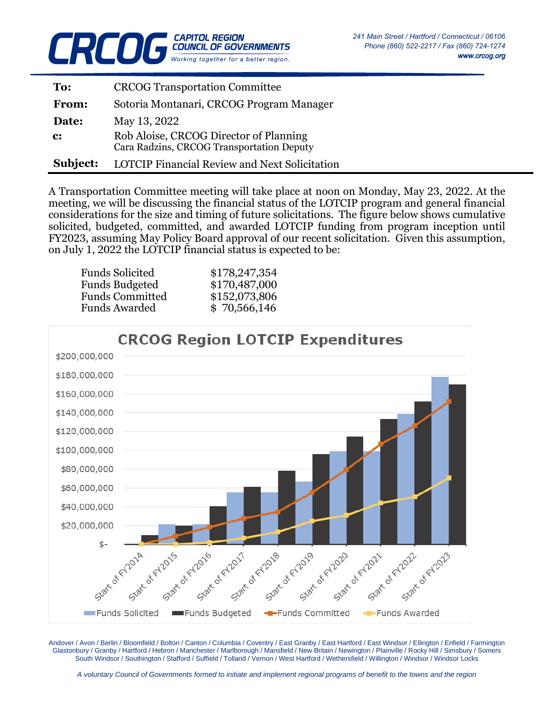

| To:            | <b>CRCOG Transportation Committee</b>                                               |
|----------------|-------------------------------------------------------------------------------------|
| <b>From:</b>   | Sotoria Montanari, CRCOG Program Manager                                            |
| Date:          | May 13, 2022                                                                        |
| $\mathbf{c}$ : | Rob Aloise, CRCOG Director of Planning<br>Cara Radzins, CRCOG Transportation Deputy |
| Subject:       | <b>LOTCIP Financial Review and Next Solicitation</b>                                |

A Transportation Committee meeting will take place at noon on Monday, May 23, 2022. At the meeting, we will be discussing the financial status of the LOTCIP program and general financial considerations for the size and timing of future solicitations. The figure below shows cumulative solicited, budgeted, committed, and awarded LOTCIP funding from program inception until FY2023, assuming May Policy Board approval of our recent solicitation. Given this assumption, on July 1, 2022 the LOTCIP financial status is expected to be:

| <b>Funds Solicited</b> | \$178,247,354 |
|------------------------|---------------|
| <b>Funds Budgeted</b>  | \$170,487,000 |
| <b>Funds Committed</b> | \$152,073,806 |
| <b>Funds Awarded</b>   | \$70,566,146  |



Andover / Avon / Berlin / Bloomfield / Bolton / Canton / Columbia / Coventry / East Granby / East Hartford / East Windsor / Ellington / Enfield / Farmington Glastonbury / Granby / Hartford / Hebron / Manchester / Marlborough / Mansfield / New Britain / Newington / Plainville / Rocky Hill / Simsbury / Somers South Windsor / Southington / Stafford / Suffield / Tolland / Vernon / West Hartford / Wethersfield / Willington / Windsor / Windsor Locks